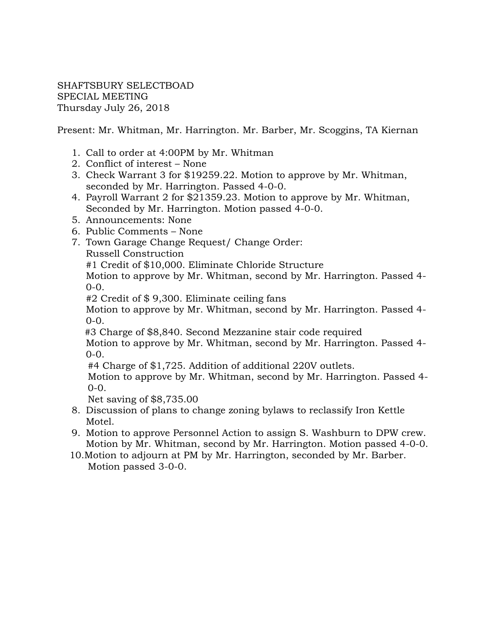SHAFTSBURY SELECTBOAD SPECIAL MEETING Thursday July 26, 2018

Present: Mr. Whitman, Mr. Harrington. Mr. Barber, Mr. Scoggins, TA Kiernan

- 1. Call to order at 4:00PM by Mr. Whitman
- 2. Conflict of interest None
- 3. Check Warrant 3 for \$19259.22. Motion to approve by Mr. Whitman, seconded by Mr. Harrington. Passed 4-0-0.
- 4. Payroll Warrant 2 for \$21359.23. Motion to approve by Mr. Whitman, Seconded by Mr. Harrington. Motion passed 4-0-0.
- 5. Announcements: None
- 6. Public Comments None
- 7. Town Garage Change Request/ Change Order: Russell Construction

#1 Credit of \$10,000. Eliminate Chloride Structure

Motion to approve by Mr. Whitman, second by Mr. Harrington. Passed 4-  $0-0.$ 

#2 Credit of \$ 9,300. Eliminate ceiling fans

Motion to approve by Mr. Whitman, second by Mr. Harrington. Passed 4-  $0-0.$ 

#3 Charge of \$8,840. Second Mezzanine stair code required

Motion to approve by Mr. Whitman, second by Mr. Harrington. Passed 4- 0-0.

#4 Charge of \$1,725. Addition of additional 220V outlets.

 Motion to approve by Mr. Whitman, second by Mr. Harrington. Passed 4- 0-0.

Net saving of \$8,735.00

- 8. Discussion of plans to change zoning bylaws to reclassify Iron Kettle Motel.
- 9. Motion to approve Personnel Action to assign S. Washburn to DPW crew. Motion by Mr. Whitman, second by Mr. Harrington. Motion passed 4-0-0.
- 10.Motion to adjourn at PM by Mr. Harrington, seconded by Mr. Barber. Motion passed 3-0-0.